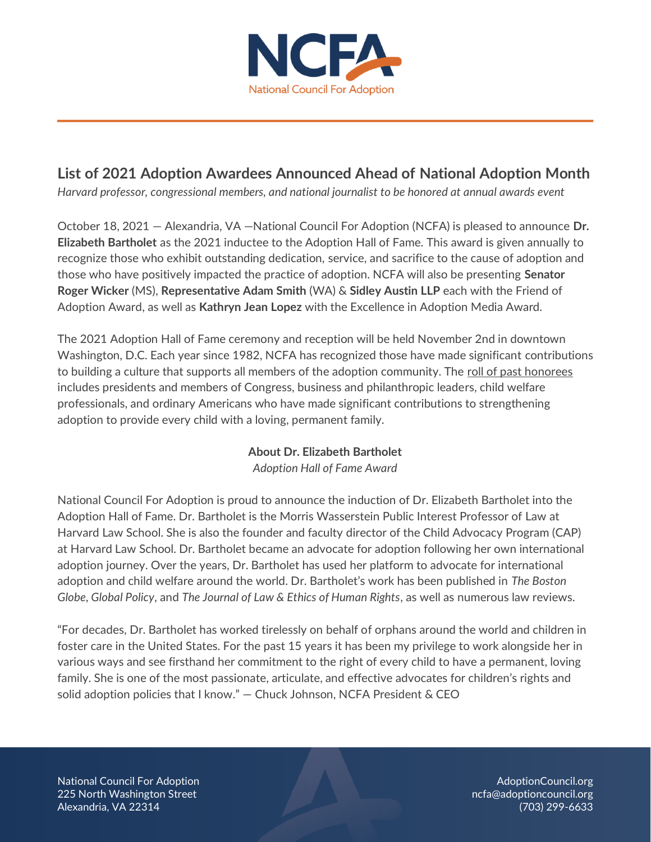

# **List of 2021 Adoption Awardees Announced Ahead of National Adoption Month**

*Harvard professor, congressional members, and national journalist to be honored at annual awards event*

October 18, 2021 — Alexandria, VA —National Council For Adoption (NCFA) is pleased to announce **Dr. Elizabeth Bartholet** as the 2021 inductee to the Adoption Hall of Fame. This award is given annually to recognize those who exhibit outstanding dedication, service, and sacrifice to the cause of adoption and those who have positively impacted the practice of adoption. NCFA will also be presenting **Senator Roger Wicker** (MS), **Representative Adam Smith** (WA) & **Sidley Austin LLP** each with the Friend of Adoption Award, as well as **Kathryn Jean Lopez** with the Excellence in Adoption Media Award.

The 2021 Adoption Hall of Fame ceremony and reception will be held November 2nd in downtown Washington, D.C. Each year since 1982, NCFA has recognized those have made significant contributions to building a culture that supports all members of the adoption community. The [roll of past honorees](https://adoptioncouncil.org/who-we-are/awards/) includes presidents and members of Congress, business and philanthropic leaders, child welfare professionals, and ordinary Americans who have made significant contributions to strengthening adoption to provide every child with a loving, permanent family.

### **About Dr. Elizabeth Bartholet**

*Adoption Hall of Fame Award*

National Council For Adoption is proud to announce the induction of Dr. Elizabeth Bartholet into the Adoption Hall of Fame. Dr. Bartholet is the Morris Wasserstein Public Interest Professor of Law at Harvard Law School. She is also the founder and faculty director of the Child Advocacy Program (CAP) at Harvard Law School. Dr. Bartholet became an advocate for adoption following her own international adoption journey. Over the years, Dr. Bartholet has used her platform to advocate for international adoption and child welfare around the world. Dr. Bartholet's work has been published in *The Boston Globe*, *Global Policy*, and *The Journal of Law & Ethics of Human Rights*, as well as numerous law reviews.

"For decades, Dr. Bartholet has worked tirelessly on behalf of orphans around the world and children in foster care in the United States. For the past 15 years it has been my privilege to work alongside her in various ways and see firsthand her commitment to the right of every child to have a permanent, loving family. She is one of the most passionate, articulate, and effective advocates for children's rights and solid adoption policies that I know." — Chuck Johnson, NCFA President & CEO

National Council For Adoption AdoptionCouncil.org 225 North Washington Street **name is a structure of a structure of a structure of a structure of a structure of a** Alexandria, VA 22314 (703) 299-6633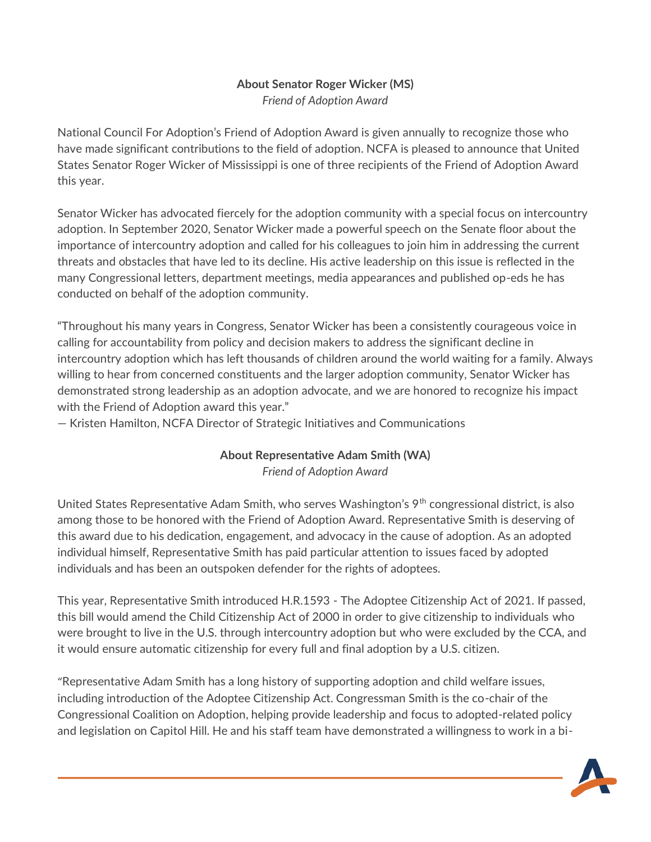### **About Senator Roger Wicker (MS)** *Friend of Adoption Award*

National Council For Adoption's Friend of Adoption Award is given annually to recognize those who have made significant contributions to the field of adoption. NCFA is pleased to announce that United States Senator Roger Wicker of Mississippi is one of three recipients of the Friend of Adoption Award this year.

Senator Wicker has advocated fiercely for the adoption community with a special focus on intercountry adoption. In September 2020, Senator Wicker made a powerful speech on [the Senate floor](https://www.wicker.senate.gov/public/index.cfm/2020/9/wicker-decries-clear-and-consistent-bias-against-intercountry-adoptions-at-u-s-state-department) about the importance of intercountry adoption and called for his colleagues to join him in addressing the current threats and obstacles that have led to its decline. His active leadership on this issue is reflected in the many Congressional letters, department meetings, media appearances and published op-eds he has conducted on behalf of the adoption community.

"Throughout his many years in Congress, Senator Wicker has been a consistently courageous voice in calling for accountability from policy and decision makers to address the significant decline in intercountry adoption which has left thousands of children around the world waiting for a family. Always willing to hear from concerned constituents and the larger adoption community, Senator Wicker has demonstrated strong leadership as an adoption advocate, and we are honored to recognize his impact with the Friend of Adoption award this year."

— Kristen Hamilton, NCFA Director of Strategic Initiatives and Communications

### **About Representative Adam Smith (WA)** *Friend of Adoption Award*

United States Representative Adam Smith, who serves Washington's 9<sup>th</sup> congressional district, is also among those to be honored with the Friend of Adoption Award. Representative Smith is deserving of this award due to his dedication, engagement, and advocacy in the cause of adoption. As an adopted individual himself, Representative Smith has paid particular attention to issues faced by adopted individuals and has been an outspoken defender for the rights of adoptees.

This year, Representative Smith introduced H.R.1593 - The Adoptee Citizenship Act of 2021*.* If passed, this bill would amend the Child Citizenship Act of 2000 in order to give citizenship to individuals who were brought to live in the U.S. through intercountry adoption but who were excluded by the CCA, and it would ensure automatic citizenship for every full and final adoption by a U.S. citizen.

"Representative Adam Smith has a long history of supporting adoption and child welfare issues, including introduction of the Adoptee Citizenship Act. Congressman Smith is the co-chair of the Congressional Coalition on Adoption, helping provide leadership and focus to adopted-related policy and legislation on Capitol Hill. He and his staff team have demonstrated a willingness to work in a bi-

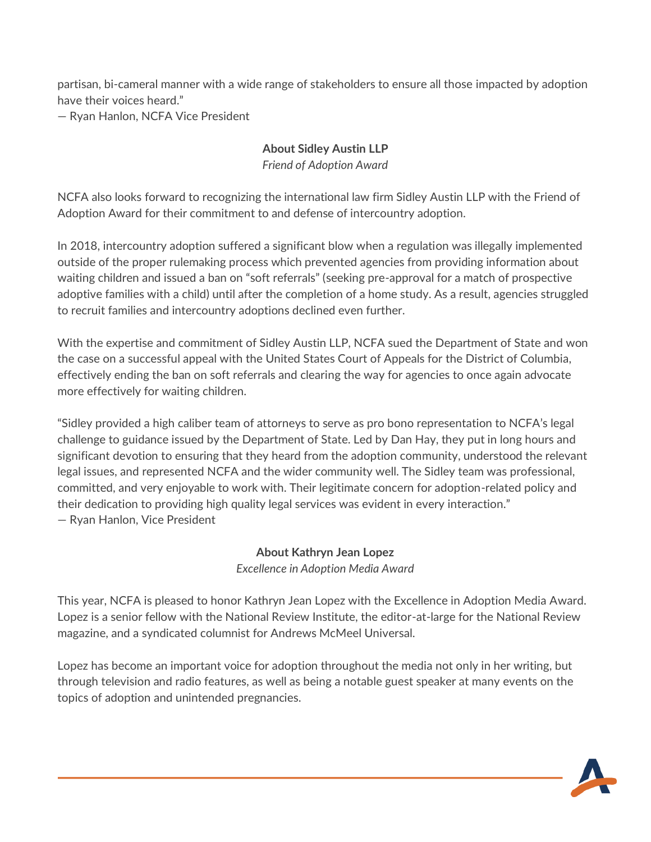partisan, bi-cameral manner with a wide range of stakeholders to ensure all those impacted by adoption have their voices heard."

— Ryan Hanlon, NCFA Vice President

# **About Sidley Austin LLP**

*Friend of Adoption Award*

NCFA also looks forward to recognizing the international law firm Sidley Austin LLP with the Friend of Adoption Award for their commitment to and defense of intercountry adoption.

In 2018, intercountry adoption suffered a significant blow when a regulation was illegally implemented outside of the proper rulemaking process which prevented agencies from providing information about waiting children and issued a ban on "soft referrals" (seeking pre-approval for a match of prospective adoptive families with a child) until after the completion of a home study. As a result, agencies struggled to recruit families and intercountry adoptions declined even further.

With the expertise and commitment of Sidley Austin LLP, NCFA sued the Department of State and won the case on a successful appeal with the United States Court of Appeals for the District of Columbia, effectively ending the ban on soft referrals and clearing the way for agencies to once again advocate more effectively for waiting children.

"Sidley provided a high caliber team of attorneys to serve as pro bono representation to NCFA's legal challenge to guidance issued by the Department of State. Led by Dan Hay, they put in long hours and significant devotion to ensuring that they heard from the adoption community, understood the relevant legal issues, and represented NCFA and the wider community well. The Sidley team was professional, committed, and very enjoyable to work with. Their legitimate concern for adoption-related policy and their dedication to providing high quality legal services was evident in every interaction." — Ryan Hanlon, Vice President

#### **About Kathryn Jean Lopez** *Excellence in Adoption Media Award*

This year, NCFA is pleased to honor Kathryn Jean Lopez with the Excellence in Adoption Media Award. Lopez is a senior fellow with the National Review Institute, the editor-at-large for the National Review magazine, and a syndicated columnist for Andrews McMeel Universal.

Lopez has become an important voice for adoption throughout the media not only in her writing, but through television and radio features, as well as being a notable guest speaker at many events on the topics of adoption and unintended pregnancies.

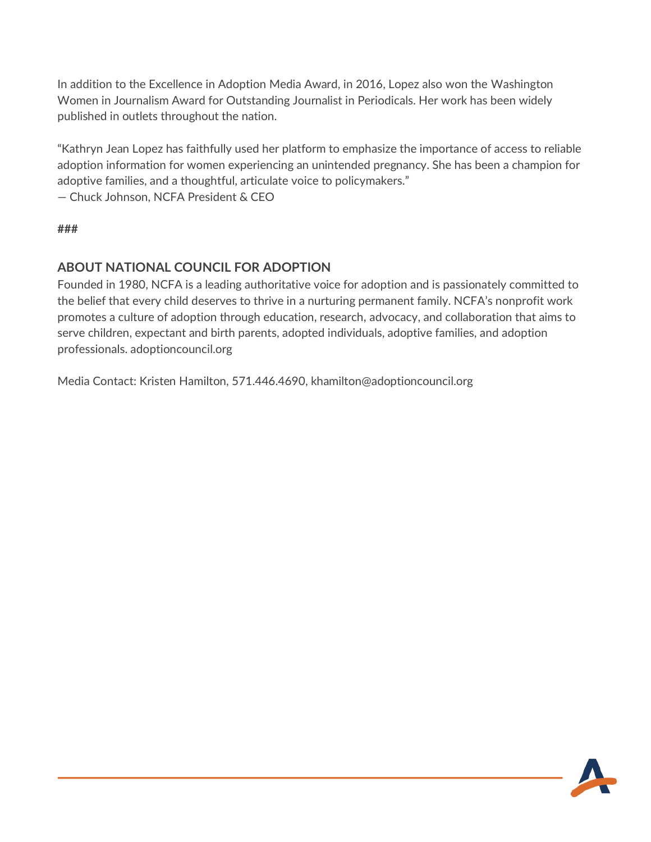In addition to the Excellence in Adoption Media Award, in 2016, Lopez also won the Washington Women in Journalism Award for Outstanding Journalist in Periodicals. Her work has been widely published in outlets throughout the nation.

"Kathryn Jean Lopez has faithfully used her platform to emphasize the importance of access to reliable adoption information for women experiencing an unintended pregnancy. She has been a champion for adoptive families, and a thoughtful, articulate voice to policymakers."

— Chuck Johnson, NCFA President & CEO

**###**

## **ABOUT NATIONAL COUNCIL FOR ADOPTION**

Founded in 1980, NCFA is a leading authoritative voice for adoption and is passionately committed to the belief that every child deserves to thrive in a nurturing permanent family. NCFA's nonprofit work promotes a culture of adoption through education, research, advocacy, and collaboration that aims to serve children, expectant and birth parents, adopted individuals, adoptive families, and adoption professionals. adoptioncouncil.org

Media Contact: Kristen Hamilton, 571.446.4690, khamilton@adoptioncouncil.org